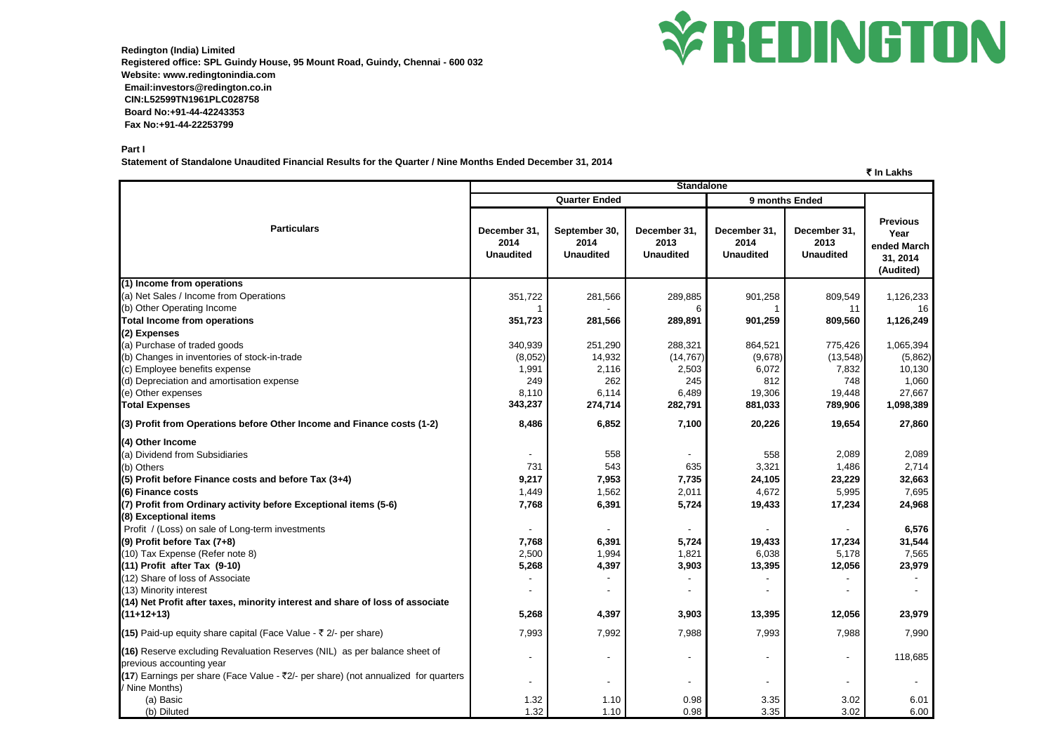

**Redington (India) Limited Registered office: SPL Guindy House, 95 Mount Road, Guindy, Chennai - 600 032 Website: www.redingtonindia.com Email:investors@redington.co.in CIN:L52599TN1961PLC028758 Board No:+91-44-42243353 Fax No:+91-44-22253799**

## **Part I**

**Statement of Standalone Unaudited Financial Results for the Quarter / Nine Months Ended December 31, 2014**

## ` **In Lakhs**

|                                                                                                                  | <b>Standalone</b>                        |                                           |                                          |                                          |                                          |                                                                 |  |
|------------------------------------------------------------------------------------------------------------------|------------------------------------------|-------------------------------------------|------------------------------------------|------------------------------------------|------------------------------------------|-----------------------------------------------------------------|--|
|                                                                                                                  |                                          | <b>Quarter Ended</b>                      |                                          |                                          | 9 months Ended                           |                                                                 |  |
| <b>Particulars</b>                                                                                               | December 31,<br>2014<br><b>Unaudited</b> | September 30,<br>2014<br><b>Unaudited</b> | December 31.<br>2013<br><b>Unaudited</b> | December 31,<br>2014<br><b>Unaudited</b> | December 31,<br>2013<br><b>Unaudited</b> | <b>Previous</b><br>Year<br>ended March<br>31, 2014<br>(Audited) |  |
| (1) Income from operations                                                                                       |                                          |                                           |                                          |                                          |                                          |                                                                 |  |
| (a) Net Sales / Income from Operations                                                                           | 351,722                                  | 281,566                                   | 289,885                                  | 901,258                                  | 809,549                                  | 1,126,233                                                       |  |
| (b) Other Operating Income                                                                                       |                                          |                                           |                                          |                                          | 11                                       | 16                                                              |  |
| <b>Total Income from operations</b>                                                                              | 351,723                                  | 281,566                                   | 289,891                                  | 901,259                                  | 809,560                                  | 1,126,249                                                       |  |
| (2) Expenses                                                                                                     |                                          |                                           |                                          |                                          |                                          |                                                                 |  |
| (a) Purchase of traded goods                                                                                     | 340,939                                  | 251,290                                   | 288,321                                  | 864,521                                  | 775,426                                  | 1,065,394                                                       |  |
| (b) Changes in inventories of stock-in-trade                                                                     | (8,052)                                  | 14,932                                    | (14, 767)                                | (9,678)                                  | (13, 548)                                | (5,862)                                                         |  |
| (c) Employee benefits expense                                                                                    | 1,991                                    | 2,116                                     | 2,503                                    | 6,072                                    | 7,832                                    | 10,130                                                          |  |
| (d) Depreciation and amortisation expense                                                                        | 249                                      | 262                                       | 245                                      | 812                                      | 748                                      | 1,060                                                           |  |
| (e) Other expenses                                                                                               | 8,110                                    | 6,114                                     | 6,489                                    | 19,306                                   | 19,448                                   | 27,667                                                          |  |
| <b>Total Expenses</b>                                                                                            | 343,237                                  | 274,714                                   | 282,791                                  | 881,033                                  | 789,906                                  | 1,098,389                                                       |  |
| (3) Profit from Operations before Other Income and Finance costs (1-2)                                           | 8,486                                    | 6,852                                     | 7,100                                    | 20,226                                   | 19,654                                   | 27,860                                                          |  |
| (4) Other Income                                                                                                 |                                          |                                           |                                          |                                          |                                          |                                                                 |  |
| (a) Dividend from Subsidiaries                                                                                   |                                          | 558                                       |                                          | 558                                      | 2,089                                    | 2,089                                                           |  |
| (b) Others                                                                                                       | 731                                      | 543                                       | 635                                      | 3,321                                    | 1,486                                    | 2,714                                                           |  |
| (5) Profit before Finance costs and before Tax (3+4)                                                             | 9,217                                    | 7,953                                     | 7,735                                    | 24,105                                   | 23,229                                   | 32,663                                                          |  |
| (6) Finance costs                                                                                                | 1,449                                    | 1,562                                     | 2,011                                    | 4,672                                    | 5,995                                    | 7,695                                                           |  |
| (7) Profit from Ordinary activity before Exceptional items (5-6)                                                 | 7,768                                    | 6,391                                     | 5,724                                    | 19,433                                   | 17,234                                   | 24,968                                                          |  |
| (8) Exceptional items                                                                                            |                                          |                                           |                                          |                                          |                                          |                                                                 |  |
| Profit / (Loss) on sale of Long-term investments                                                                 |                                          |                                           |                                          |                                          |                                          | 6,576                                                           |  |
| $(9)$ Profit before Tax $(7+8)$                                                                                  | 7,768                                    | 6,391                                     | 5,724                                    | 19,433                                   | 17,234                                   | 31,544                                                          |  |
| (10) Tax Expense (Refer note 8)                                                                                  | 2,500                                    | 1,994                                     | 1,821                                    | 6,038                                    | 5,178                                    | 7,565                                                           |  |
| $(11)$ Profit after Tax $(9-10)$                                                                                 | 5,268                                    | 4,397                                     | 3,903                                    | 13,395                                   | 12,056                                   | 23,979                                                          |  |
| (12) Share of loss of Associate                                                                                  |                                          |                                           |                                          |                                          |                                          |                                                                 |  |
| (13) Minority interest                                                                                           |                                          |                                           |                                          |                                          |                                          |                                                                 |  |
| (14) Net Profit after taxes, minority interest and share of loss of associate                                    |                                          |                                           |                                          |                                          |                                          |                                                                 |  |
| $(11+12+13)$                                                                                                     | 5,268                                    | 4,397                                     | 3,903                                    | 13,395                                   | 12,056                                   | 23,979                                                          |  |
| (15) Paid-up equity share capital (Face Value - $\bar{\tau}$ 2/- per share)                                      | 7,993                                    | 7,992                                     | 7,988                                    | 7,993                                    | 7,988                                    | 7,990                                                           |  |
| (16) Reserve excluding Revaluation Reserves (NIL) as per balance sheet of<br>previous accounting year            |                                          |                                           | $\overline{\phantom{0}}$                 |                                          |                                          | 118,685                                                         |  |
| (17) Earnings per share (Face Value - $\bar{\tau}$ 2/- per share) (not annualized for quarters<br>/ Nine Months) | $\blacksquare$                           | $\blacksquare$                            | $\blacksquare$                           |                                          |                                          |                                                                 |  |
| (a) Basic                                                                                                        | 1.32                                     | 1.10                                      | 0.98                                     | 3.35                                     | 3.02                                     | 6.01                                                            |  |
| (b) Diluted                                                                                                      | 1.32                                     | 1.10                                      | 0.98                                     | 3.35                                     | 3.02                                     | 6.00                                                            |  |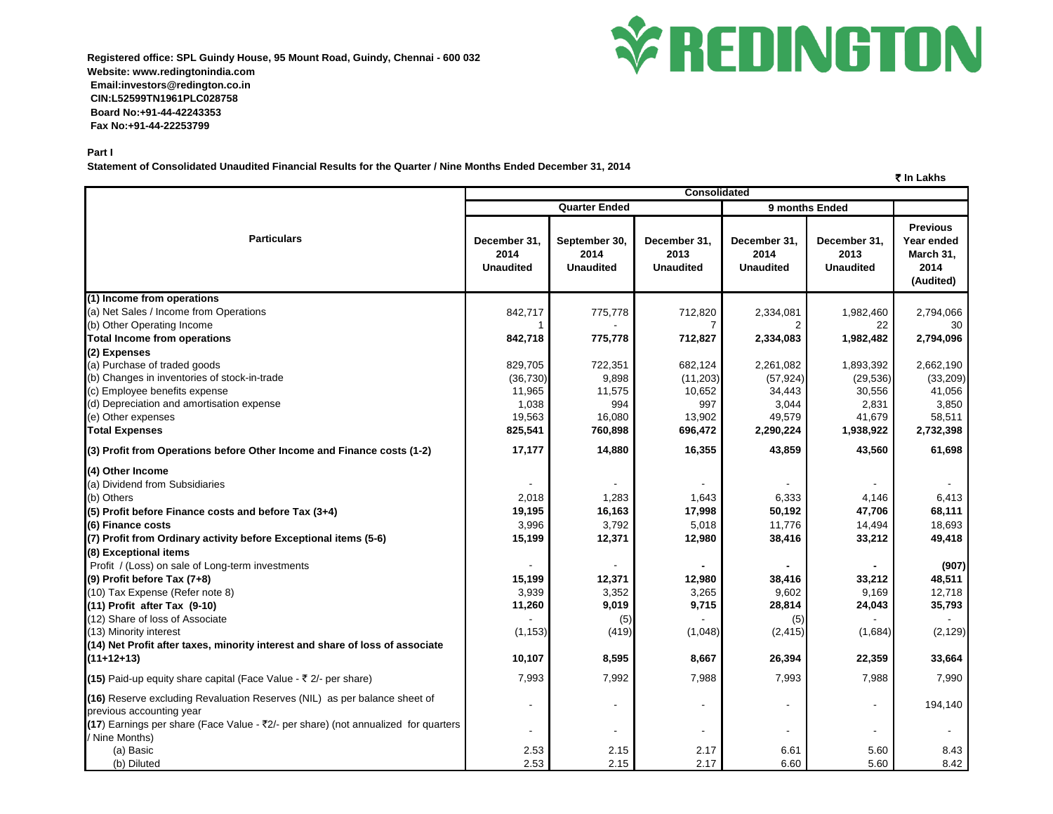**Registered office: SPL Guindy House, 95 Mount Road, Guindy, Chennai - 600 032 Website: www.redingtonindia.com Email:investors@redington.co.in CIN:L52599TN1961PLC028758 Board No:+91-44-42243353 Fax No:+91-44-22253799**



` **In Lakhs**

**Part I**

**Statement of Consolidated Unaudited Financial Results for the Quarter / Nine Months Ended December 31, 2014**

|                                                                                                       | <b>Consolidated</b>                      |                                           |                                          |                                          |                                          |                                                                 |  |
|-------------------------------------------------------------------------------------------------------|------------------------------------------|-------------------------------------------|------------------------------------------|------------------------------------------|------------------------------------------|-----------------------------------------------------------------|--|
|                                                                                                       |                                          | <b>Quarter Ended</b>                      |                                          | 9 months Ended                           |                                          |                                                                 |  |
| <b>Particulars</b>                                                                                    | December 31,<br>2014<br><b>Unaudited</b> | September 30,<br>2014<br><b>Unaudited</b> | December 31,<br>2013<br><b>Unaudited</b> | December 31,<br>2014<br><b>Unaudited</b> | December 31,<br>2013<br><b>Unaudited</b> | <b>Previous</b><br>Year ended<br>March 31,<br>2014<br>(Audited) |  |
| (1) Income from operations                                                                            |                                          |                                           |                                          |                                          |                                          |                                                                 |  |
| (a) Net Sales / Income from Operations                                                                | 842,717                                  | 775,778                                   | 712,820                                  | 2,334,081                                | 1,982,460                                | 2,794,066                                                       |  |
| (b) Other Operating Income                                                                            |                                          |                                           |                                          |                                          | 22                                       | 30                                                              |  |
| <b>Total Income from operations</b>                                                                   | 842,718                                  | 775,778                                   | 712,827                                  | 2,334,083                                | 1,982,482                                | 2,794,096                                                       |  |
| (2) Expenses                                                                                          |                                          |                                           |                                          |                                          |                                          |                                                                 |  |
| (a) Purchase of traded goods                                                                          | 829,705                                  | 722,351                                   | 682,124                                  | 2,261,082                                | 1,893,392                                | 2,662,190                                                       |  |
| (b) Changes in inventories of stock-in-trade                                                          | (36, 730)                                | 9,898                                     | (11, 203)                                | (57, 924)                                | (29, 536)                                | (33, 209)                                                       |  |
| (c) Employee benefits expense                                                                         | 11,965                                   | 11,575                                    | 10,652                                   | 34,443                                   | 30,556                                   | 41,056                                                          |  |
| (d) Depreciation and amortisation expense                                                             | 1,038                                    | 994                                       | 997                                      | 3,044                                    | 2,831                                    | 3,850                                                           |  |
| (e) Other expenses                                                                                    | 19,563                                   | 16,080                                    | 13,902                                   | 49,579                                   | 41,679                                   | 58,511                                                          |  |
| <b>Total Expenses</b>                                                                                 | 825,541                                  | 760,898                                   | 696,472                                  | 2,290,224                                | 1,938,922                                | 2,732,398                                                       |  |
| (3) Profit from Operations before Other Income and Finance costs (1-2)                                | 17,177                                   | 14,880                                    | 16,355                                   | 43,859                                   | 43,560                                   | 61,698                                                          |  |
| (4) Other Income                                                                                      |                                          |                                           |                                          |                                          |                                          |                                                                 |  |
| (a) Dividend from Subsidiaries                                                                        |                                          |                                           |                                          |                                          |                                          |                                                                 |  |
| (b) Others                                                                                            | 2,018                                    | 1,283                                     | 1,643                                    | 6,333                                    | 4,146                                    | 6,413                                                           |  |
| (5) Profit before Finance costs and before Tax (3+4)                                                  | 19,195                                   | 16,163                                    | 17,998                                   | 50,192                                   | 47,706                                   | 68,111                                                          |  |
| (6) Finance costs                                                                                     | 3,996                                    | 3,792                                     | 5,018                                    | 11,776                                   | 14,494                                   | 18,693                                                          |  |
| (7) Profit from Ordinary activity before Exceptional items (5-6)                                      | 15,199                                   | 12,371                                    | 12,980                                   | 38,416                                   | 33,212                                   | 49,418                                                          |  |
| (8) Exceptional items                                                                                 |                                          |                                           |                                          |                                          |                                          |                                                                 |  |
| Profit / (Loss) on sale of Long-term investments                                                      |                                          |                                           |                                          |                                          |                                          | (907)                                                           |  |
| (9) Profit before Tax (7+8)                                                                           | 15,199                                   | 12,371                                    | 12,980                                   | 38,416                                   | 33,212                                   | 48,511                                                          |  |
| (10) Tax Expense (Refer note 8)                                                                       | 3,939                                    | 3,352                                     | 3,265                                    | 9,602                                    | 9,169                                    | 12,718                                                          |  |
| (11) Profit after Tax (9-10)                                                                          | 11,260                                   | 9,019                                     | 9,715                                    | 28,814                                   | 24,043                                   | 35,793                                                          |  |
| (12) Share of loss of Associate                                                                       |                                          | (5)                                       |                                          | (5)                                      |                                          |                                                                 |  |
| (13) Minority interest                                                                                | (1, 153)                                 | (419)                                     | (1,048)                                  | (2, 415)                                 | (1,684)                                  | (2, 129)                                                        |  |
| (14) Net Profit after taxes, minority interest and share of loss of associate                         |                                          |                                           |                                          |                                          |                                          |                                                                 |  |
| $(11+12+13)$                                                                                          | 10,107                                   | 8,595                                     | 8,667                                    | 26,394                                   | 22,359                                   | 33,664                                                          |  |
| (15) Paid-up equity share capital (Face Value - ₹ 2/- per share)                                      | 7,993                                    | 7,992                                     | 7,988                                    | 7,993                                    | 7,988                                    | 7,990                                                           |  |
| (16) Reserve excluding Revaluation Reserves (NIL) as per balance sheet of<br>previous accounting year |                                          |                                           | $\overline{\phantom{a}}$                 | $\overline{\phantom{a}}$                 |                                          | 194,140                                                         |  |
| (17) Earnings per share (Face Value - ₹2/- per share) (not annualized for quarters<br>/ Nine Months)  |                                          |                                           | $\blacksquare$                           |                                          |                                          |                                                                 |  |
| (a) Basic                                                                                             | 2.53                                     | 2.15                                      | 2.17                                     | 6.61                                     | 5.60                                     | 8.43                                                            |  |
| (b) Diluted                                                                                           | 2.53                                     | 2.15                                      | 2.17                                     | 6.60                                     | 5.60                                     | 8.42                                                            |  |